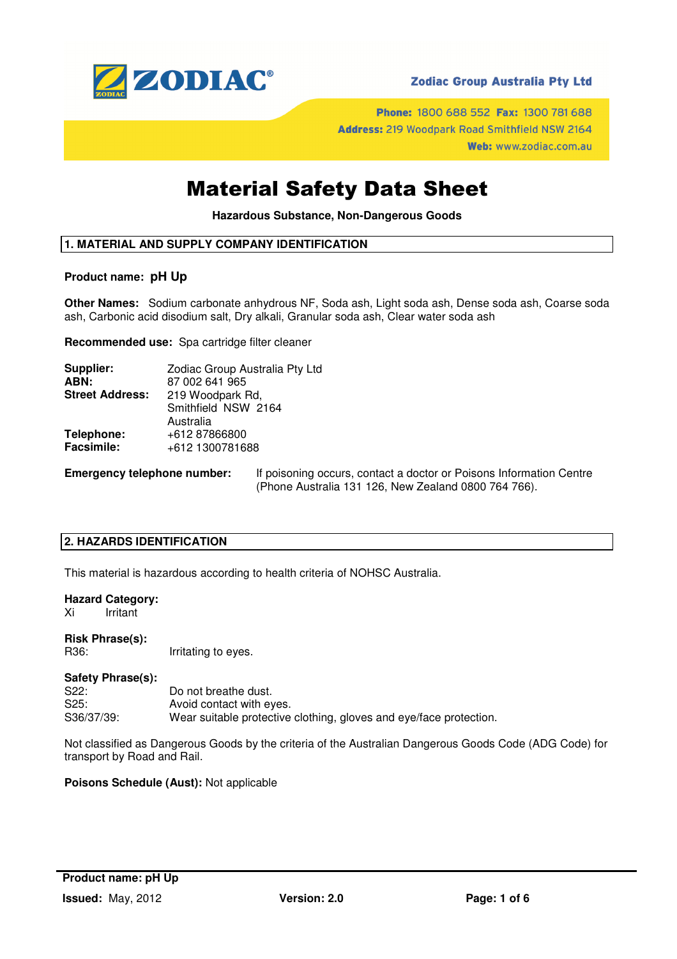

Phone: 1800 688 552 Fax: 1300 781 688 Address: 219 Woodpark Road Smithfield NSW 2164 Web: www.zodiac.com.au

## Material Safety Data Sheet

**Hazardous Substance, Non-Dangerous Goods** 

## **1. MATERIAL AND SUPPLY COMPANY IDENTIFICATION**

#### **Product name: pH Up**

**Other Names:** Sodium carbonate anhydrous NF, Soda ash, Light soda ash, Dense soda ash, Coarse soda ash, Carbonic acid disodium salt, Dry alkali, Granular soda ash, Clear water soda ash

**Recommended use:** Spa cartridge filter cleaner

| Supplier:              | Zodiac Group Australia Pty Ltd |
|------------------------|--------------------------------|
| ABN:                   | 87 002 641 965                 |
| <b>Street Address:</b> | 219 Woodpark Rd,               |
|                        | Smithfield NSW 2164            |
|                        | Australia                      |
| Telephone:             | +612 87866800                  |
| <b>Facsimile:</b>      | +612 1300781688                |
|                        |                                |

**Emergency telephone number:** If poisoning occurs, contact a doctor or Poisons Information Centre (Phone Australia 131 126, New Zealand 0800 764 766).

## **2. HAZARDS IDENTIFICATION**

This material is hazardous according to health criteria of NOHSC Australia.

#### **Hazard Category:**

Xi Irritant

## **Risk Phrase(s):**

R36: Irritating to eyes.

## **Safety Phrase(s):**

| S22:       | Do not breathe dust.                                               |
|------------|--------------------------------------------------------------------|
| S25:       | Avoid contact with eyes.                                           |
| S36/37/39: | Wear suitable protective clothing, gloves and eye/face protection. |

Not classified as Dangerous Goods by the criteria of the Australian Dangerous Goods Code (ADG Code) for transport by Road and Rail.

#### **Poisons Schedule (Aust):** Not applicable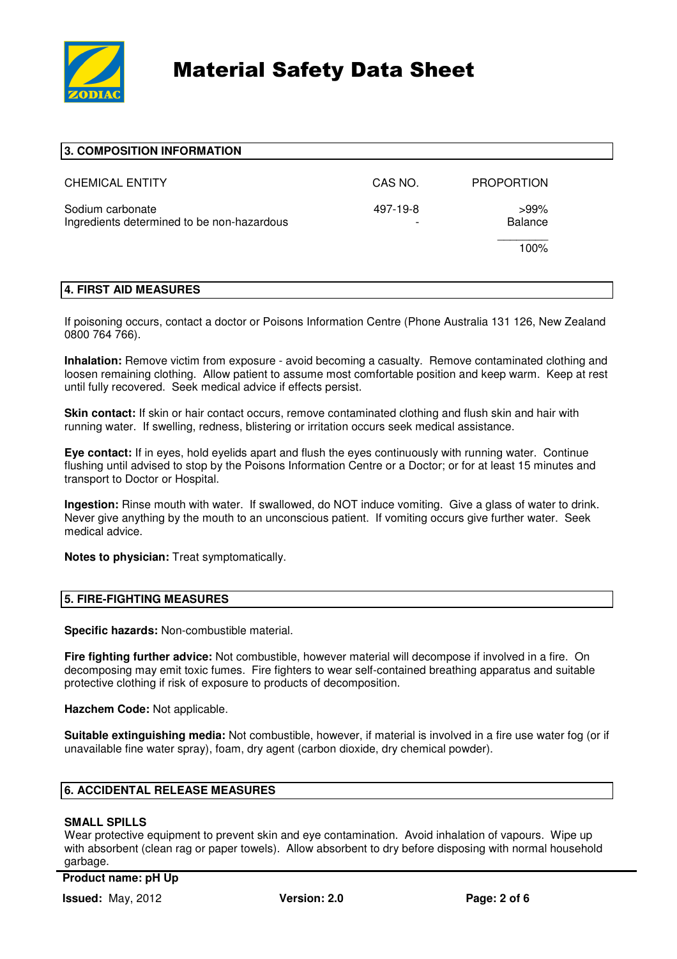

| 3. COMPOSITION INFORMATION                                     |                                      |                           |  |
|----------------------------------------------------------------|--------------------------------------|---------------------------|--|
| <b>CHEMICAL ENTITY</b>                                         | CAS NO.                              | <b>PROPORTION</b>         |  |
| Sodium carbonate<br>Ingredients determined to be non-hazardous | 497-19-8<br>$\overline{\phantom{a}}$ | $>99\%$<br><b>Balance</b> |  |
|                                                                |                                      | 100%                      |  |
|                                                                |                                      |                           |  |

#### **4. FIRST AID MEASURES**

If poisoning occurs, contact a doctor or Poisons Information Centre (Phone Australia 131 126, New Zealand 0800 764 766).

**Inhalation:** Remove victim from exposure - avoid becoming a casualty. Remove contaminated clothing and loosen remaining clothing. Allow patient to assume most comfortable position and keep warm. Keep at rest until fully recovered. Seek medical advice if effects persist.

**Skin contact:** If skin or hair contact occurs, remove contaminated clothing and flush skin and hair with running water. If swelling, redness, blistering or irritation occurs seek medical assistance.

**Eye contact:** If in eyes, hold eyelids apart and flush the eyes continuously with running water. Continue flushing until advised to stop by the Poisons Information Centre or a Doctor; or for at least 15 minutes and transport to Doctor or Hospital.

**Ingestion:** Rinse mouth with water. If swallowed, do NOT induce vomiting. Give a glass of water to drink. Never give anything by the mouth to an unconscious patient. If vomiting occurs give further water. Seek medical advice.

**Notes to physician:** Treat symptomatically.

#### **5. FIRE-FIGHTING MEASURES**

**Specific hazards:** Non-combustible material.

**Fire fighting further advice:** Not combustible, however material will decompose if involved in a fire. On decomposing may emit toxic fumes. Fire fighters to wear self-contained breathing apparatus and suitable protective clothing if risk of exposure to products of decomposition.

**Hazchem Code:** Not applicable.

**Suitable extinguishing media:** Not combustible, however, if material is involved in a fire use water fog (or if unavailable fine water spray), foam, dry agent (carbon dioxide, dry chemical powder).

#### **6. ACCIDENTAL RELEASE MEASURES**

#### **SMALL SPILLS**

Wear protective equipment to prevent skin and eye contamination. Avoid inhalation of vapours. Wipe up with absorbent (clean rag or paper towels). Allow absorbent to dry before disposing with normal household garbage.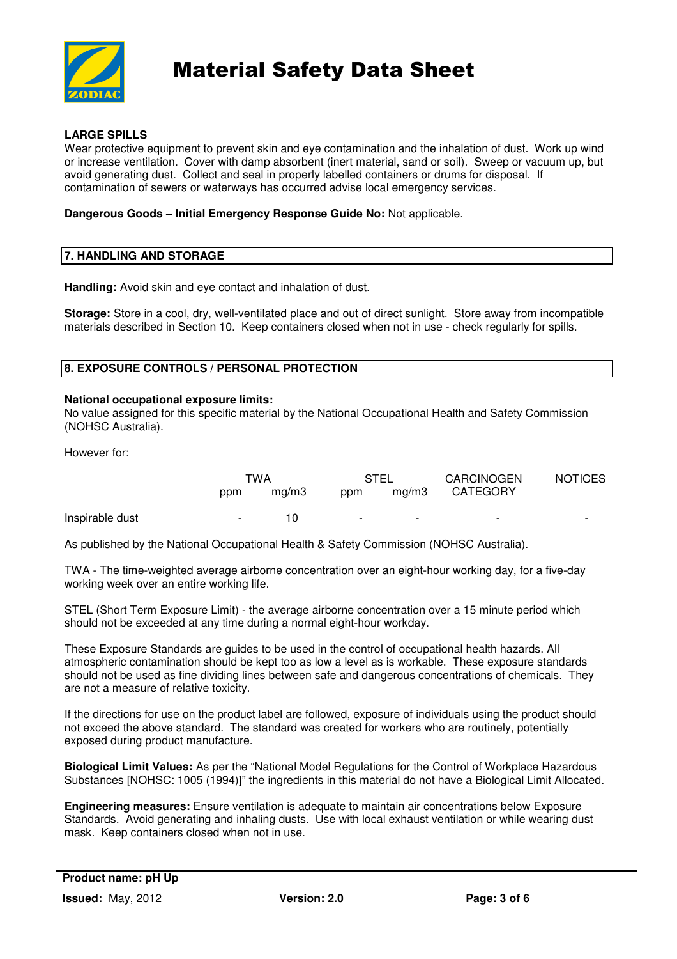

## **LARGE SPILLS**

Wear protective equipment to prevent skin and eye contamination and the inhalation of dust. Work up wind or increase ventilation. Cover with damp absorbent (inert material, sand or soil). Sweep or vacuum up, but avoid generating dust. Collect and seal in properly labelled containers or drums for disposal. If contamination of sewers or waterways has occurred advise local emergency services.

## **Dangerous Goods – Initial Emergency Response Guide No:** Not applicable.

## **7. HANDLING AND STORAGE**

**Handling:** Avoid skin and eye contact and inhalation of dust.

**Storage:** Store in a cool, dry, well-ventilated place and out of direct sunlight. Store away from incompatible materials described in Section 10. Keep containers closed when not in use - check regularly for spills.

#### **8. EXPOSURE CONTROLS / PERSONAL PROTECTION**

#### **National occupational exposure limits:**

No value assigned for this specific material by the National Occupational Health and Safety Commission (NOHSC Australia).

However for:

|                 | TWA    |       | STEL                     |                          | <b>CARCINOGEN</b>        | <b>NOTICES</b>           |
|-----------------|--------|-------|--------------------------|--------------------------|--------------------------|--------------------------|
|                 | ppm    | ma/m3 | ppm                      | mg/m3                    | <b>CATEGORY</b>          |                          |
| Inspirable dust | $\sim$ | 10    | $\overline{\phantom{0}}$ | $\overline{\phantom{0}}$ | $\overline{\phantom{0}}$ | $\overline{\phantom{0}}$ |

As published by the National Occupational Health & Safety Commission (NOHSC Australia).

TWA - The time-weighted average airborne concentration over an eight-hour working day, for a five-day working week over an entire working life.

STEL (Short Term Exposure Limit) - the average airborne concentration over a 15 minute period which should not be exceeded at any time during a normal eight-hour workday.

These Exposure Standards are guides to be used in the control of occupational health hazards. All atmospheric contamination should be kept too as low a level as is workable. These exposure standards should not be used as fine dividing lines between safe and dangerous concentrations of chemicals. They are not a measure of relative toxicity.

If the directions for use on the product label are followed, exposure of individuals using the product should not exceed the above standard. The standard was created for workers who are routinely, potentially exposed during product manufacture.

**Biological Limit Values:** As per the "National Model Regulations for the Control of Workplace Hazardous Substances [NOHSC: 1005 (1994)]" the ingredients in this material do not have a Biological Limit Allocated.

**Engineering measures:** Ensure ventilation is adequate to maintain air concentrations below Exposure Standards. Avoid generating and inhaling dusts. Use with local exhaust ventilation or while wearing dust mask. Keep containers closed when not in use.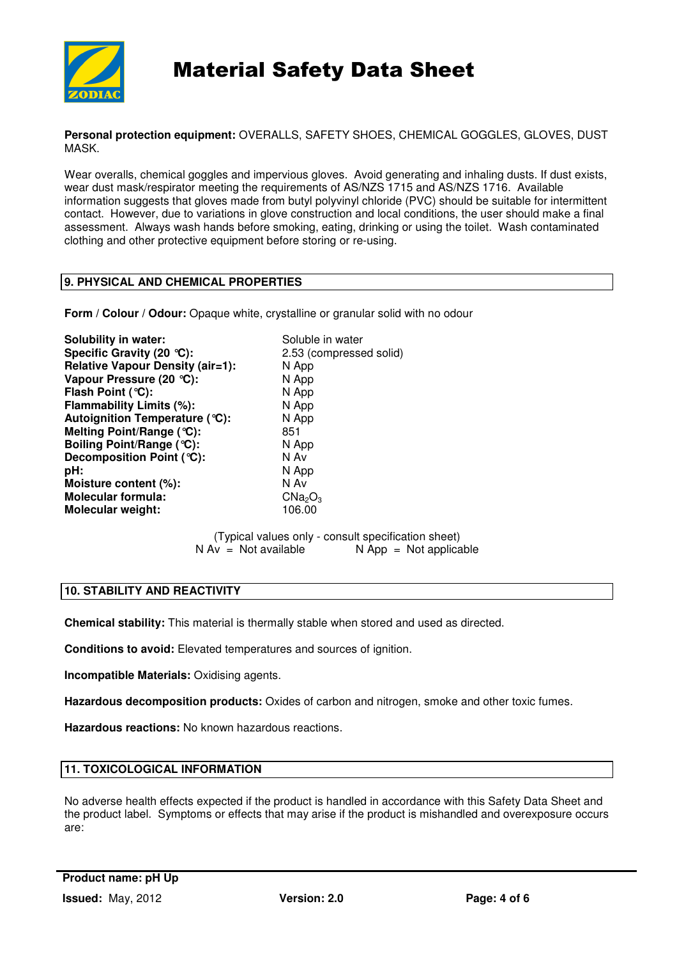

**Personal protection equipment:** OVERALLS, SAFETY SHOES, CHEMICAL GOGGLES, GLOVES, DUST MASK.

Wear overalls, chemical goggles and impervious gloves. Avoid generating and inhaling dusts. If dust exists, wear dust mask/respirator meeting the requirements of AS/NZS 1715 and AS/NZS 1716. Available information suggests that gloves made from butyl polyvinyl chloride (PVC) should be suitable for intermittent contact. However, due to variations in glove construction and local conditions, the user should make a final assessment. Always wash hands before smoking, eating, drinking or using the toilet. Wash contaminated clothing and other protective equipment before storing or re-using.

## **9. PHYSICAL AND CHEMICAL PROPERTIES**

**Form / Colour / Odour:** Opaque white, crystalline or granular solid with no odour

**Solubility in water:** Soluble in water **Specific Gravity (20 °C):** 2.53 (compressed solid) **Relative Vapour Density (air=1):** N App<br>Vapour Pressure (20 °C): N App **Vapour Pressure (20 °C): Flash Point (°C):** N App **Flammability Limits (%):** N App **Autoignition Temperature (°C):** N App **Melting Point/Range (°C):** 851 **Boiling Point/Range (°C):** N App<br> **Decomposition Point (°C):** N Av **Decomposition Point (°C): pH:** N App **Moisture content (%):** N Av **Molecular formula:** CNa<sub>2</sub>O<sub>3</sub> **Molecular weight:** 106.00

(Typical values only - consult specification sheet)  $N Av = Not available$   $N App = Not applicable$ 

## **10. STABILITY AND REACTIVITY**

**Chemical stability:** This material is thermally stable when stored and used as directed.

**Conditions to avoid:** Elevated temperatures and sources of ignition.

**Incompatible Materials:** Oxidising agents.

**Hazardous decomposition products:** Oxides of carbon and nitrogen, smoke and other toxic fumes.

**Hazardous reactions:** No known hazardous reactions.

## **11. TOXICOLOGICAL INFORMATION**

No adverse health effects expected if the product is handled in accordance with this Safety Data Sheet and the product label. Symptoms or effects that may arise if the product is mishandled and overexposure occurs are: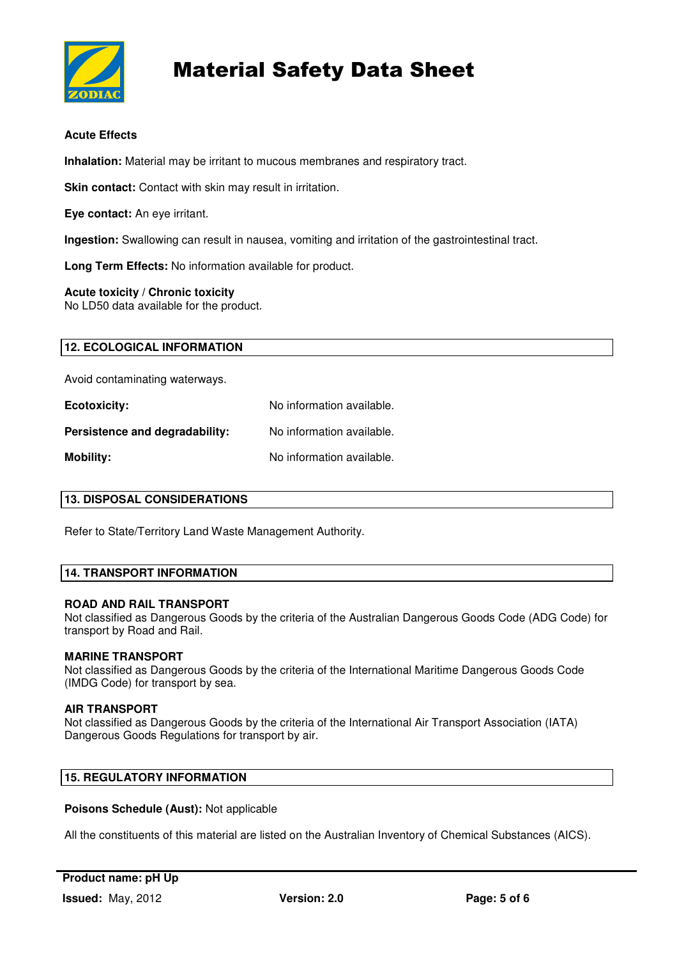

## **Acute Effects**

**Inhalation:** Material may be irritant to mucous membranes and respiratory tract.

**Skin contact:** Contact with skin may result in irritation.

**Eye contact:** An eye irritant.

**Ingestion:** Swallowing can result in nausea, vomiting and irritation of the gastrointestinal tract.

**Long Term Effects:** No information available for product.

## **Acute toxicity / Chronic toxicity**

No LD50 data available for the product.

| <b>12. ECOLOGICAL INFORMATION</b> |  |
|-----------------------------------|--|

Avoid contaminating waterways.

| <b>Ecotoxicity:</b>            | No information available. |
|--------------------------------|---------------------------|
| Persistence and degradability: | No information available. |
| Mobility:                      | No information available. |

| <b>13. DISPOSAL CONSIDERATIONS</b> |  |
|------------------------------------|--|
|------------------------------------|--|

Refer to State/Territory Land Waste Management Authority.

## **14. TRANSPORT INFORMATION**

#### **ROAD AND RAIL TRANSPORT**

Not classified as Dangerous Goods by the criteria of the Australian Dangerous Goods Code (ADG Code) for transport by Road and Rail.

#### **MARINE TRANSPORT**

Not classified as Dangerous Goods by the criteria of the International Maritime Dangerous Goods Code (IMDG Code) for transport by sea.

#### **AIR TRANSPORT**

Not classified as Dangerous Goods by the criteria of the International Air Transport Association (IATA) Dangerous Goods Regulations for transport by air.

## **15. REGULATORY INFORMATION**

#### **Poisons Schedule (Aust):** Not applicable

All the constituents of this material are listed on the Australian Inventory of Chemical Substances (AICS).